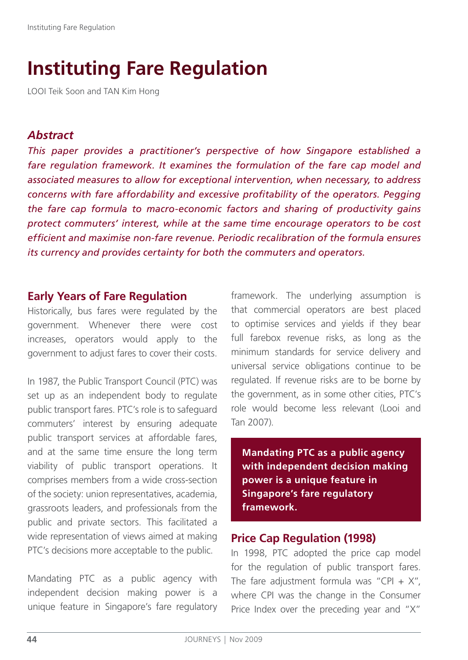# **Instituting Fare Regulation**

LOOI Teik Soon and TAN Kim Hong

# *Abstract*

*This paper provides a practitioner's perspective of how Singapore established a fare regulation framework. It examines the formulation of the fare cap model and associated measures to allow for exceptional intervention, when necessary, to address concerns with fare affordability and excessive profitability of the operators. Pegging the fare cap formula to macro-economic factors and sharing of productivity gains protect commuters' interest, while at the same time encourage operators to be cost efficient and maximise non-fare revenue. Periodic recalibration of the formula ensures its currency and provides certainty for both the commuters and operators.* 

# **Early Years of Fare Regulation**

Historically, bus fares were regulated by the government. Whenever there were cost increases, operators would apply to the government to adjust fares to cover their costs.

In 1987, the Public Transport Council (PTC) was set up as an independent body to regulate public transport fares. PTC's role is to safeguard commuters' interest by ensuring adequate public transport services at affordable fares, and at the same time ensure the long term viability of public transport operations. It comprises members from a wide cross-section of the society: union representatives, academia, grassroots leaders, and professionals from the public and private sectors. This facilitated a wide representation of views aimed at making PTC's decisions more acceptable to the public.

Mandating PTC as a public agency with independent decision making power is a unique feature in Singapore's fare regulatory framework. The underlying assumption is that commercial operators are best placed to optimise services and yields if they bear full farebox revenue risks, as long as the minimum standards for service delivery and universal service obligations continue to be regulated. If revenue risks are to be borne by the government, as in some other cities, PTC's role would become less relevant (Looi and Tan 2007).

**Mandating PTC as a public agency with independent decision making power is a unique feature in Singapore's fare regulatory framework.**

# **Price Cap Regulation (1998)**

In 1998, PTC adopted the price cap model for the regulation of public transport fares. The fare adjustment formula was "CPI +  $X$ ", where CPI was the change in the Consumer Price Index over the preceding year and "X"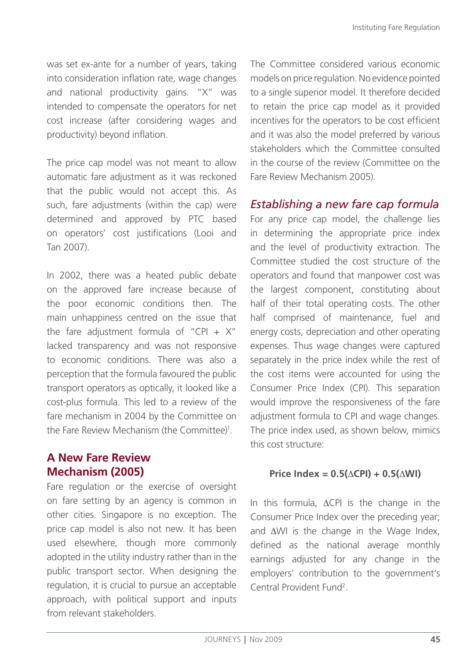was set ex-ante for a number of years, taking into consideration inflation rate, wage changes and national productivity gains. "X" was intended to compensate the operators for net cost increase (after considering wages and productivity) beyond inflation.

The price cap model was not meant to allow automatic fare adjustment as it was reckoned that the public would not accept this. As such, fare adjustments (within the cap) were determined and approved by PTC based on operators' cost justifications (Looi and Tan 2007).

In 2002, there was a heated public debate on the approved fare increase because of the poor economic conditions then. The main unhappiness centred on the issue that the fare adjustment formula of "CPI +  $X$ " lacked transparency and was not responsive to economic conditions. There was also a perception that the formula favoured the public transport operators as optically, it looked like a cost-plus formula. This led to a review of the fare mechanism in 2004 by the Committee on the Fare Review Mechanism (the Committee)<sup>1</sup>.

# **A New Fare Review Mechanism (2005)**

Fare regulation or the exercise of oversight on fare setting by an agency is common in other cities. Singapore is no exception. The price cap model is also not new. It has been used elsewhere, though more commonly adopted in the utility industry rather than in the public transport sector. When designing the regulation, it is crucial to pursue an acceptable approach, with political support and inputs from relevant stakeholders.

The Committee considered various economic models on price regulation. No evidence pointed to a single superior model. It therefore decided to retain the price cap model as it provided incentives for the operators to be cost efficient and it was also the model preferred by various stakeholders which the Committee consulted in the course of the review (Committee on the Fare Review Mechanism 2005).

# *Establishing a new fare cap formula*

For any price cap model, the challenge lies in determining the appropriate price index and the level of productivity extraction. The Committee studied the cost structure of the operators and found that manpower cost was the largest component, constituting about half of their total operating costs. The other half comprised of maintenance, fuel and energy costs, depreciation and other operating expenses. Thus wage changes were captured separately in the price index while the rest of the cost items were accounted for using the Consumer Price Index (CPI). This separation would improve the responsiveness of the fare adjustment formula to CPI and wage changes. The price index used, as shown below, mimics this cost structure:

### $Price Index = 0.5(\triangle CPU) + 0.5(\triangle WI)$

In this formula,  $\Delta$ CPI is the change in the Consumer Price Index over the preceding year; and  $\Delta$ WI is the change in the Wage Index, defined as the national average monthly earnings adjusted for any change in the employers' contribution to the government's Central Provident Fund<sup>2</sup>.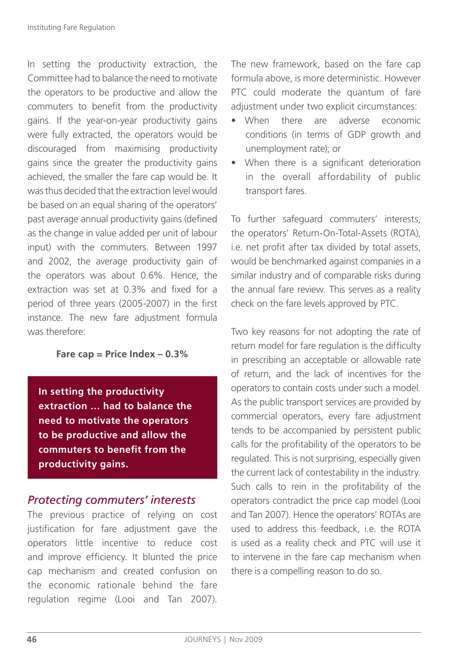In setting the productivity extraction, the Committee had to balance the need to motivate the operators to be productive and allow the commuters to benefit from the productivity gains. If the year-on-year productivity gains were fully extracted, the operators would be discouraged from maximising productivity gains since the greater the productivity gains achieved, the smaller the fare cap would be. It was thus decided that the extraction level would be based on an equal sharing of the operators' past average annual productivity gains (defined as the change in value added per unit of labour input) with the commuters. Between 1997 and 2002, the average productivity gain of the operators was about 0.6%. Hence, the extraction was set at 0.3% and fixed for a period of three years (2005-2007) in the first instance. The new fare adjustment formula was therefore:

### **Fare cap = Price Index – 0.3%**

**In setting the productivity extraction … had to balance the need to motivate the operators to be productive and allow the commuters to benefit from the productivity gains.** 

### *Protecting commuters' interests*

The previous practice of relying on cost justification for fare adjustment gave the operators little incentive to reduce cost and improve efficiency. It blunted the price cap mechanism and created confusion on the economic rationale behind the fare regulation regime (Looi and Tan 2007).

The new framework, based on the fare cap formula above, is more deterministic. However PTC could moderate the quantum of fare adjustment under two explicit circumstances:

- When there are adverse economic conditions (in terms of GDP growth and unemployment rate); or
- When there is a significant deterioration in the overall affordability of public transport fares.

To further safeguard commuters' interests, the operators' Return-On-Total-Assets (ROTA), i.e. net profit after tax divided by total assets, would be benchmarked against companies in a similar industry and of comparable risks during the annual fare review. This serves as a reality check on the fare levels approved by PTC.

Two key reasons for not adopting the rate of return model for fare regulation is the difficulty in prescribing an acceptable or allowable rate of return, and the lack of incentives for the operators to contain costs under such a model. As the public transport services are provided by commercial operators, every fare adjustment tends to be accompanied by persistent public calls for the profitability of the operators to be regulated. This is not surprising, especially given the current lack of contestability in the industry. Such calls to rein in the profitability of the operators contradict the price cap model (Looi and Tan 2007). Hence the operators' ROTAs are used to address this feedback, i.e. the ROTA is used as a reality check and PTC will use it to intervene in the fare cap mechanism when there is a compelling reason to do so.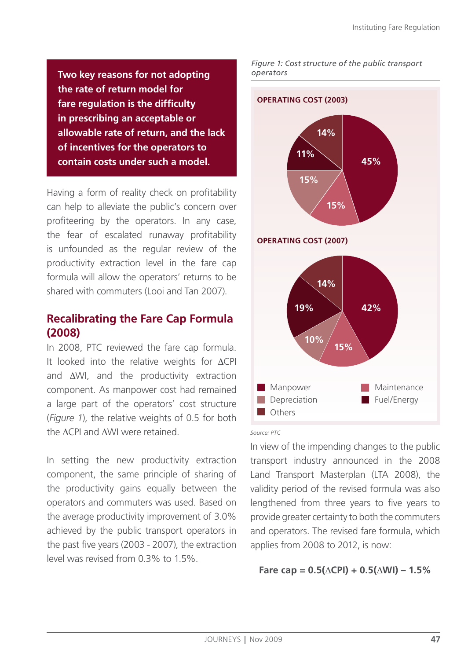**Two key reasons for not adopting the rate of return model for fare regulation is the difficulty in prescribing an acceptable or allowable rate of return, and the lack of incentives for the operators to contain costs under such a model.**

Having a form of reality check on profitability can help to alleviate the public's concern over profiteering by the operators. In any case, the fear of escalated runaway profitability is unfounded as the regular review of the productivity extraction level in the fare cap formula will allow the operators' returns to be shared with commuters (Looi and Tan 2007).

### **Recalibrating the Fare Cap Formula (2008)**

In 2008, PTC reviewed the fare cap formula. It looked into the relative weights for  $\Delta$ CPI and  $\Delta$ WI, and the productivity extraction component. As manpower cost had remained a large part of the operators' cost structure (*Figure 1*), the relative weights of 0.5 for both the ACPI and AWI were retained

In setting the new productivity extraction component, the same principle of sharing of the productivity gains equally between the operators and commuters was used. Based on the average productivity improvement of 3.0% achieved by the public transport operators in the past five years (2003 - 2007), the extraction level was revised from 0.3% to 1.5%.

*Figure 1: Cost structure of the public transport operators*



#### *Source: PTC*

In view of the impending changes to the public transport industry announced in the 2008 Land Transport Masterplan (LTA 2008), the validity period of the revised formula was also lengthened from three years to five years to provide greater certainty to both the commuters and operators. The revised fare formula, which applies from 2008 to 2012, is now:

### $\text{Face cap} = 0.5(\triangle \text{CPI}) + 0.5(\triangle \text{WI}) - 1.5\%$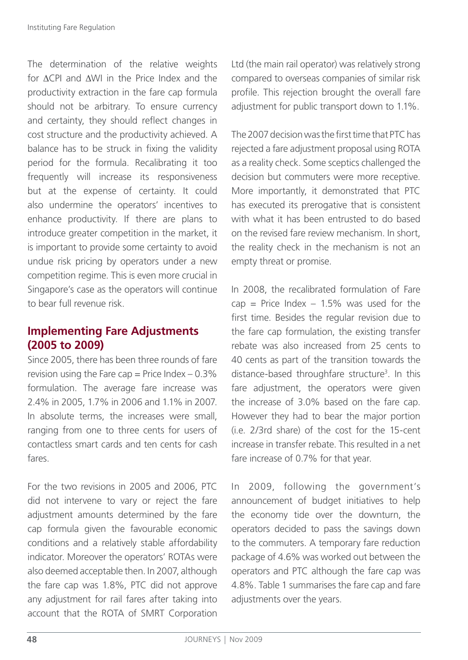The determination of the relative weights for  $\Delta$ CPI and  $\Delta$ WI in the Price Index and the productivity extraction in the fare cap formula should not be arbitrary. To ensure currency and certainty, they should reflect changes in cost structure and the productivity achieved. A balance has to be struck in fixing the validity period for the formula. Recalibrating it too frequently will increase its responsiveness but at the expense of certainty. It could also undermine the operators' incentives to enhance productivity. If there are plans to introduce greater competition in the market, it is important to provide some certainty to avoid undue risk pricing by operators under a new competition regime. This is even more crucial in Singapore's case as the operators will continue to bear full revenue risk.

# **Implementing Fare Adjustments (2005 to 2009)**

Since 2005, there has been three rounds of fare revision using the Fare cap = Price Index  $-0.3\%$ formulation. The average fare increase was 2.4% in 2005, 1.7% in 2006 and 1.1% in 2007. In absolute terms, the increases were small, ranging from one to three cents for users of contactless smart cards and ten cents for cash fares.

For the two revisions in 2005 and 2006, PTC did not intervene to vary or reject the fare adjustment amounts determined by the fare cap formula given the favourable economic conditions and a relatively stable affordability indicator. Moreover the operators' ROTAs were also deemed acceptable then. In 2007, although the fare cap was 1.8%, PTC did not approve any adjustment for rail fares after taking into account that the ROTA of SMRT Corporation Ltd (the main rail operator) was relatively strong compared to overseas companies of similar risk profile. This rejection brought the overall fare adjustment for public transport down to 1.1%.

The 2007 decision was the first time that PTC has rejected a fare adjustment proposal using ROTA as a reality check. Some sceptics challenged the decision but commuters were more receptive. More importantly, it demonstrated that PTC has executed its prerogative that is consistent with what it has been entrusted to do based on the revised fare review mechanism. In short, the reality check in the mechanism is not an empty threat or promise.

In 2008, the recalibrated formulation of Fare cap = Price Index  $-1.5\%$  was used for the first time. Besides the regular revision due to the fare cap formulation, the existing transfer rebate was also increased from 25 cents to 40 cents as part of the transition towards the distance-based throughfare structure<sup>3</sup>. In this fare adjustment, the operators were given the increase of 3.0% based on the fare cap. However they had to bear the major portion (i.e. 2/3rd share) of the cost for the 15-cent increase in transfer rebate. This resulted in a net fare increase of 0.7% for that year.

In 2009, following the government's announcement of budget initiatives to help the economy tide over the downturn, the operators decided to pass the savings down to the commuters. A temporary fare reduction package of 4.6% was worked out between the operators and PTC although the fare cap was 4.8%. Table 1 summarises the fare cap and fare adjustments over the years.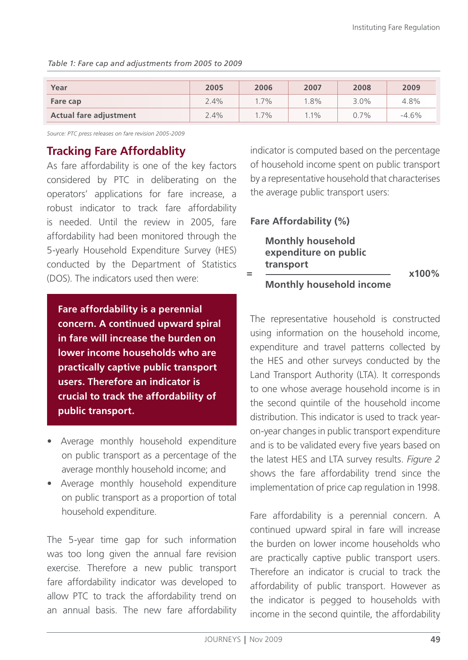| Year                          | 2005 | 2006    | 2007   | 2008    | 2009    |
|-------------------------------|------|---------|--------|---------|---------|
| Fare cap                      | 2.4% | $1.7\%$ | 1.8%   | 3.0%    | 4.8%    |
| <b>Actual fare adjustment</b> | 2.4% | $1.7\%$ | $.1\%$ | $0.7\%$ | $-4.6%$ |

*Table 1: Fare cap and adjustments from 2005 to 2009*

*Source: PTC press releases on fare revision 2005-2009*

### **Tracking Fare Affordablity**

As fare affordability is one of the key factors considered by PTC in deliberating on the operators' applications for fare increase, a robust indicator to track fare affordability is needed. Until the review in 2005, fare affordability had been monitored through the 5-yearly Household Expenditure Survey (HES) conducted by the Department of Statistics (DOS). The indicators used then were:

**Fare affordability is a perennial concern. A continued upward spiral in fare will increase the burden on lower income households who are practically captive public transport users. Therefore an indicator is crucial to track the affordability of public transport.** 

- Average monthly household expenditure on public transport as a percentage of the average monthly household income; and
- Average monthly household expenditure on public transport as a proportion of total household expenditure.

The 5-year time gap for such information was too long given the annual fare revision exercise. Therefore a new public transport fare affordability indicator was developed to allow PTC to track the affordability trend on an annual basis. The new fare affordability indicator is computed based on the percentage of household income spent on public transport by a representative household that characterises the average public transport users:

### **Fare Affordability (%)**

**Monthly household expenditure on public transport <sup>=</sup>**

**x100%**

**Monthly household income**

The representative household is constructed using information on the household income, expenditure and travel patterns collected by the HES and other surveys conducted by the Land Transport Authority (LTA). It corresponds to one whose average household income is in the second quintile of the household income distribution. This indicator is used to track yearon-year changes in public transport expenditure and is to be validated every five years based on the latest HES and LTA survey results. *Figure 2* shows the fare affordability trend since the implementation of price cap regulation in 1998.

Fare affordability is a perennial concern. A continued upward spiral in fare will increase the burden on lower income households who are practically captive public transport users. Therefore an indicator is crucial to track the affordability of public transport. However as the indicator is pegged to households with income in the second quintile, the affordability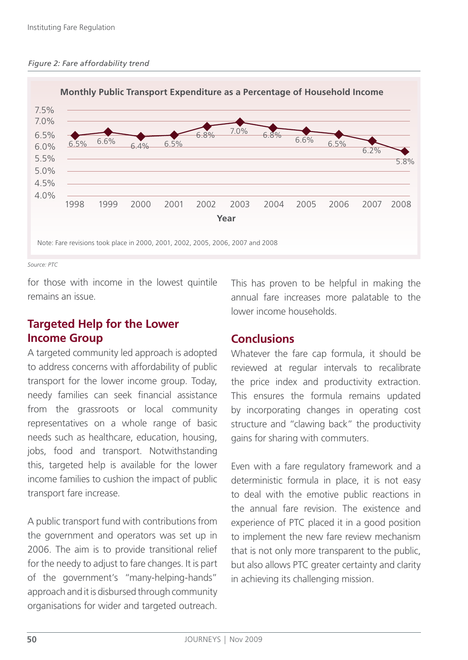

*Source: PTC*

for those with income in the lowest quintile remains an issue.

# **Targeted Help for the Lower Income Group**

A targeted community led approach is adopted to address concerns with affordability of public transport for the lower income group. Today, needy families can seek financial assistance from the grassroots or local community representatives on a whole range of basic needs such as healthcare, education, housing, jobs, food and transport. Notwithstanding this, targeted help is available for the lower income families to cushion the impact of public transport fare increase.

A public transport fund with contributions from the government and operators was set up in 2006. The aim is to provide transitional relief for the needy to adjust to fare changes. It is part of the government's "many-helping-hands" approach and it is disbursed through community organisations for wider and targeted outreach.

This has proven to be helpful in making the annual fare increases more palatable to the lower income households.

# **Conclusions**

Whatever the fare cap formula, it should be reviewed at regular intervals to recalibrate the price index and productivity extraction. This ensures the formula remains updated by incorporating changes in operating cost structure and "clawing back" the productivity gains for sharing with commuters.

Even with a fare regulatory framework and a deterministic formula in place, it is not easy to deal with the emotive public reactions in the annual fare revision. The existence and experience of PTC placed it in a good position to implement the new fare review mechanism that is not only more transparent to the public, but also allows PTC greater certainty and clarity in achieving its challenging mission.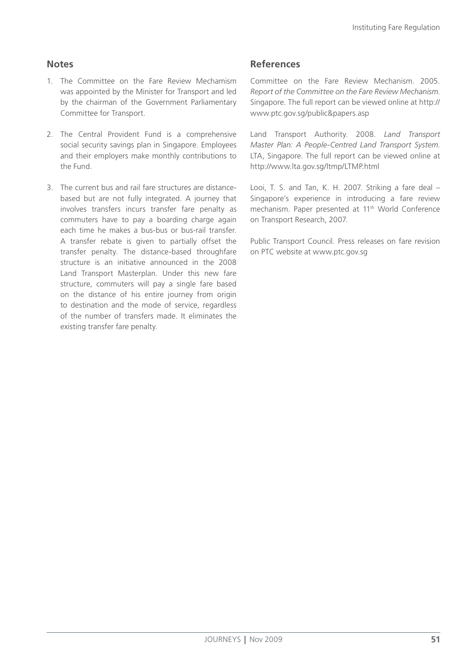### **Notes**

- 1. The Committee on the Fare Review Mechamism was appointed by the Minister for Transport and led by the chairman of the Government Parliamentary Committee for Transport.
- 2. The Central Provident Fund is a comprehensive social security savings plan in Singapore. Employees and their employers make monthly contributions to the Fund.
- 3. The current bus and rail fare structures are distancebased but are not fully integrated. A journey that involves transfers incurs transfer fare penalty as commuters have to pay a boarding charge again each time he makes a bus-bus or bus-rail transfer. A transfer rebate is given to partially offset the transfer penalty. The distance-based throughfare structure is an initiative announced in the 2008 Land Transport Masterplan. Under this new fare structure, commuters will pay a single fare based on the distance of his entire journey from origin to destination and the mode of service, regardless of the number of transfers made. It eliminates the existing transfer fare penalty.

### **References**

Committee on the Fare Review Mechanism. 2005. *Report of the Committee on the Fare Review Mechanism*. Singapore. The full report can be viewed online at http:// www.ptc.gov.sg/public&papers.asp

Land Transport Authority. 2008. *Land Transport Master Plan: A People-Centred Land Transport System*. LTA, Singapore. The full report can be viewed online at http://www.lta.gov.sg/ltmp/LTMP.html

Looi, T. S. and Tan, K. H. 2007. Striking a fare deal – Singapore's experience in introducing a fare review mechanism. Paper presented at 11<sup>th</sup> World Conference on Transport Research, 2007.

Public Transport Council. Press releases on fare revision on PTC website at www.ptc.gov.sg